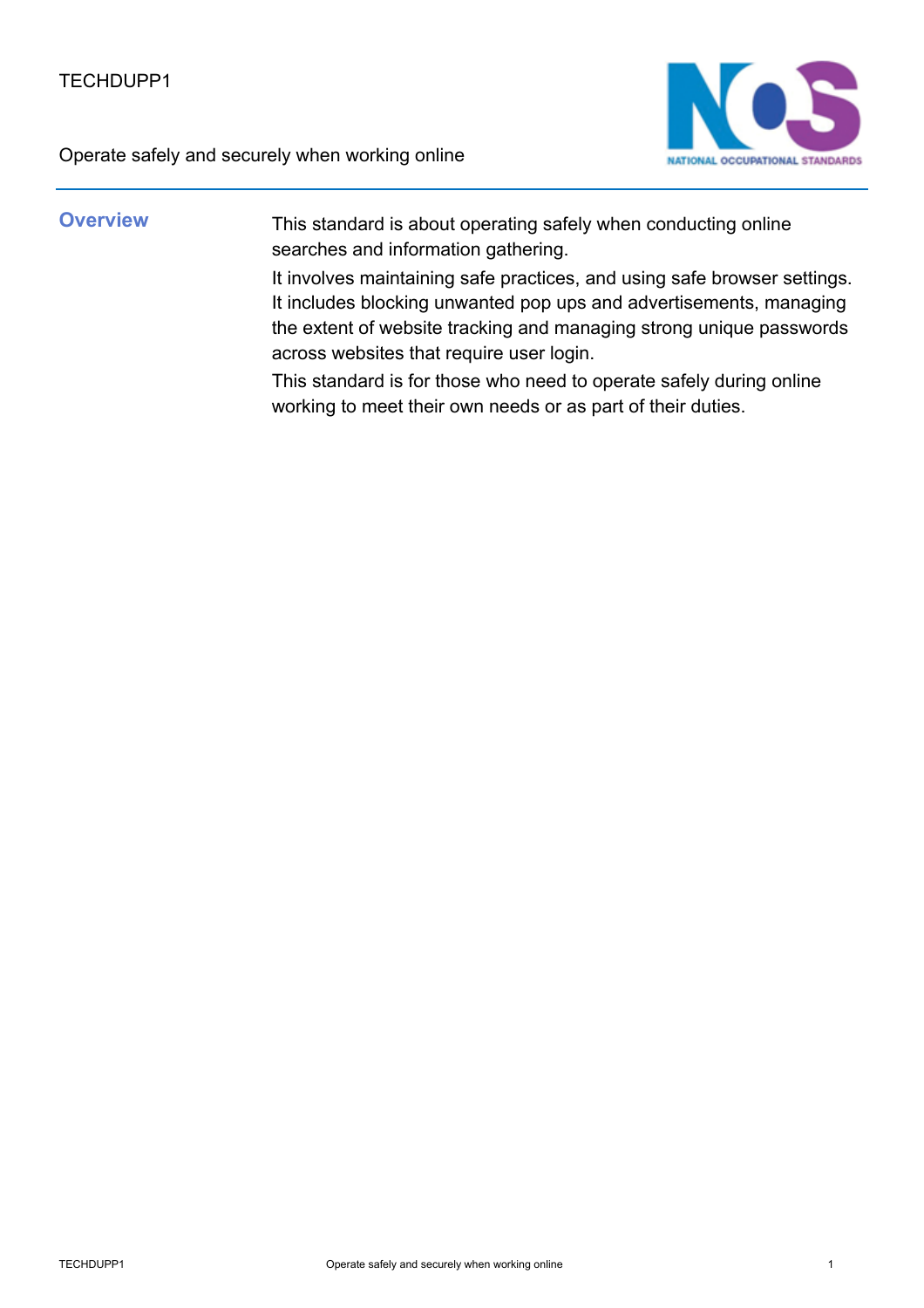

**Overview** This standard is about operating safely when conducting online searches and information gathering.

> It involves maintaining safe practices, and using safe browser settings. It includes blocking unwanted pop ups and advertisements, managing the extent of website tracking and managing strong unique passwords across websites that require user login.

This standard is for those who need to operate safely during online working to meet their own needs or as part of their duties.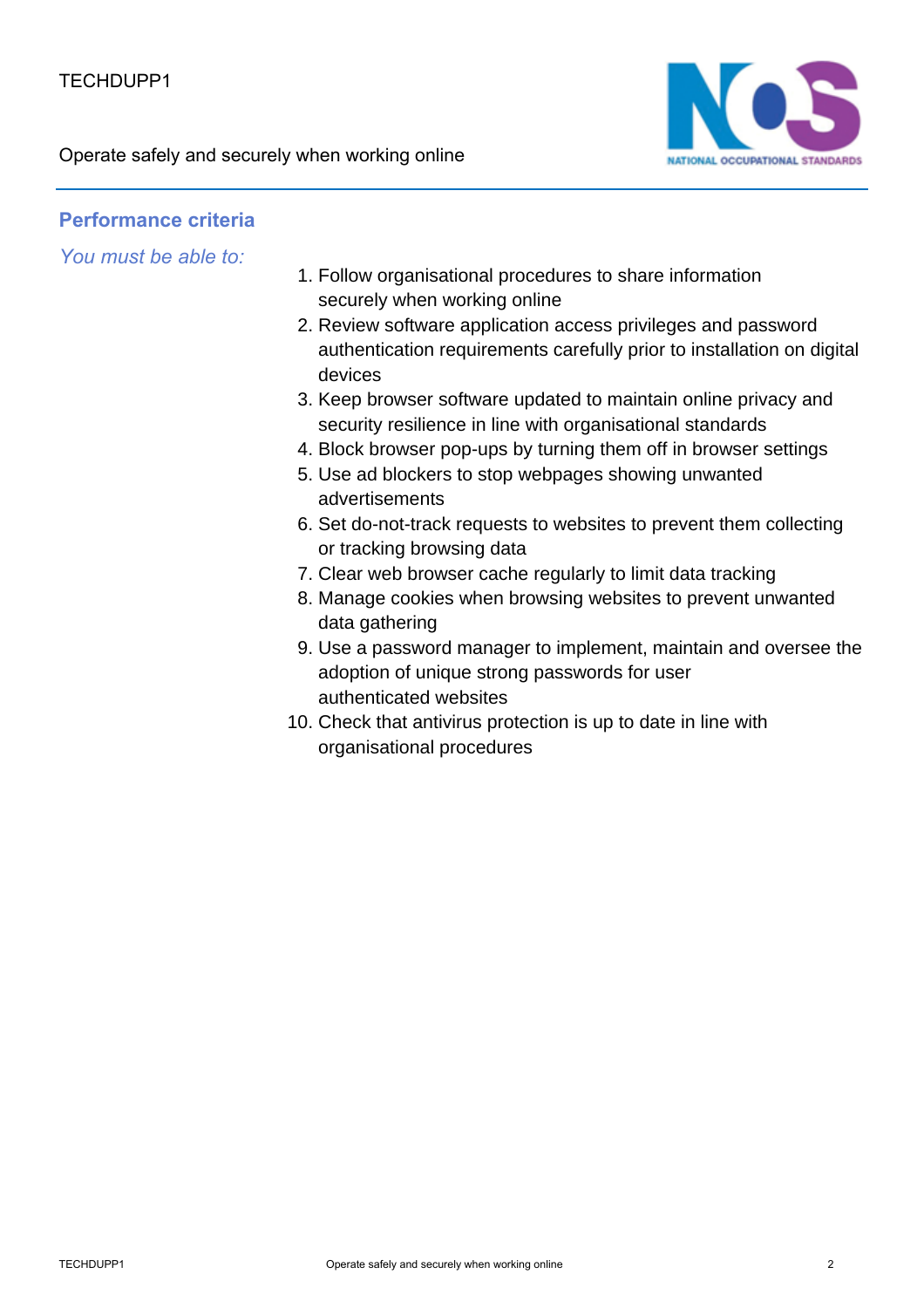

## **Performance criteria**

*You must be able to:*

- 1. Follow organisational procedures to share information securely when working online
- 2. Review software application access privileges and password authentication requirements carefully prior to installation on digital devices
- 3. Keep browser software updated to maintain online privacy and security resilience in line with organisational standards
- 4. Block browser pop-ups by turning them off in browser settings
- 5. Use ad blockers to stop webpages showing unwanted advertisements
- 6. Set do-not-track requests to websites to prevent them collecting or tracking browsing data
- 7. Clear web browser cache regularly to limit data tracking
- 8. Manage cookies when browsing websites to prevent unwanted data gathering
- 9. Use a password manager to implement, maintain and oversee the adoption of unique strong passwords for user authenticated websites
- 10. Check that antivirus protection is up to date in line with organisational procedures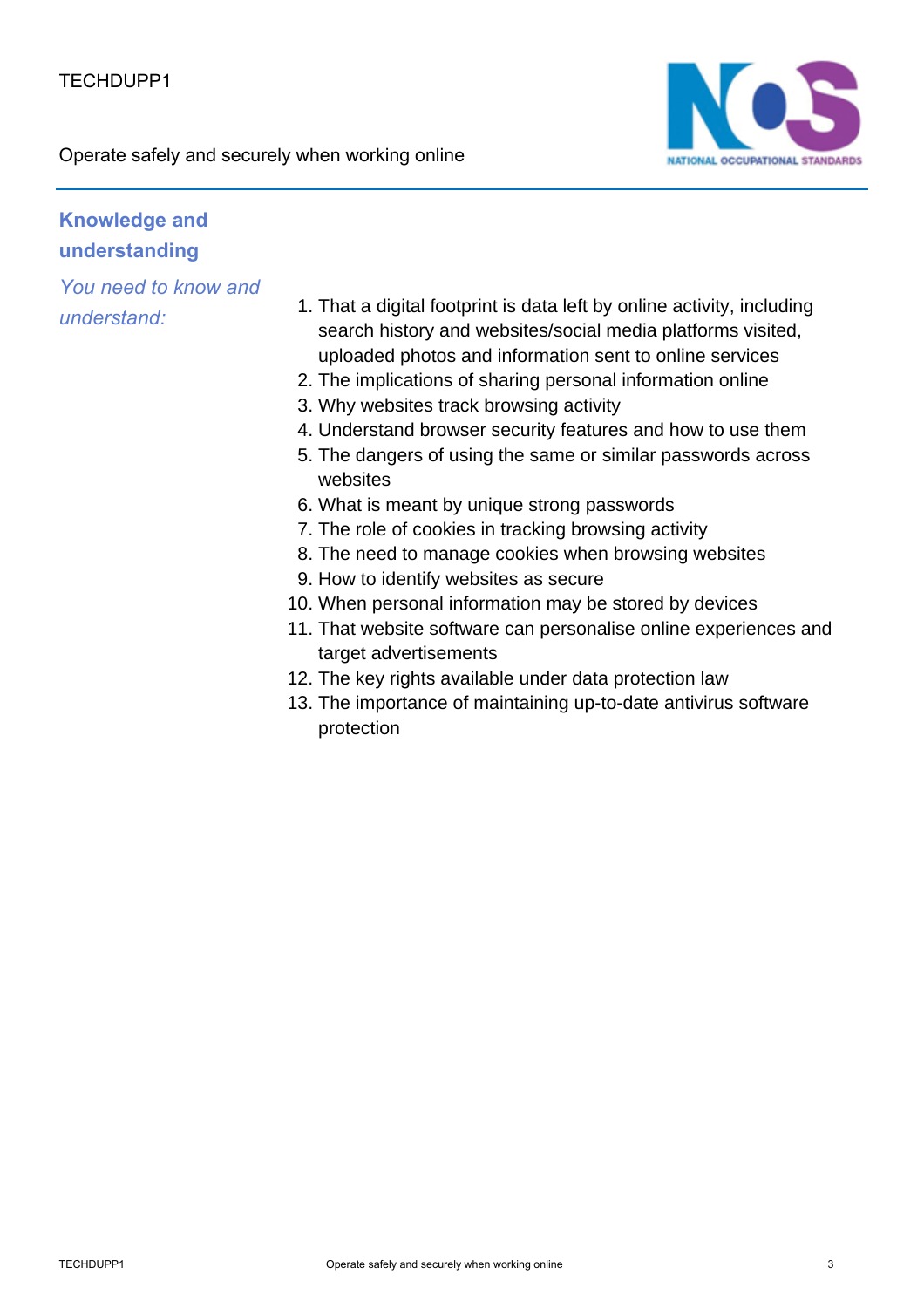

## **Knowledge and understanding**

*You need to know and*

- *understand:* That a digital footprint is data left by online activity, including<br>1. seemb bistery and websites/sesial madia platforms visited search history and websites/social media platforms visited, uploaded photos and information sent to online services
	- 2. The implications of sharing personal information online
	- 3. Why websites track browsing activity
	- 4. Understand browser security features and how to use them
	- 5. The dangers of using the same or similar passwords across websites
	- 6. What is meant by unique strong passwords
	- 7. The role of cookies in tracking browsing activity
	- 8. The need to manage cookies when browsing websites
	- 9. How to identify websites as secure
	- 10. When personal information may be stored by devices
	- 11. That website software can personalise online experiences and target advertisements
	- 12. The key rights available under data protection law
	- 13. The importance of maintaining up-to-date antivirus software protection